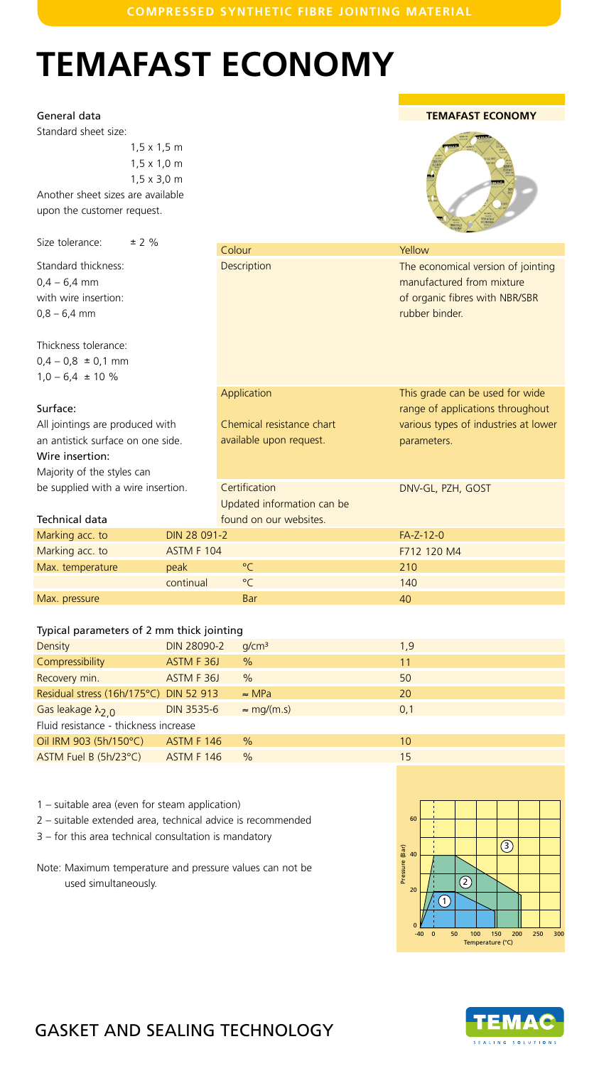## **COMPRESSED SYNTHETIC FIBRE JOINTING MATERIAL**

# **TEMAFAST ECONOMY**

### General data

Standard sheet size:

1,5 x 1,5 m 1,5 x 1,0 m 1,5 x 3,0 m Another sheet sizes are available

upon the customer request.

Size tolerance:  $\pm 2 \%$ 

Standard thickness:  $0,4 - 6,4$  mm with wire insertion:  $0,8 - 6,4$  mm

Thickness tolerance:  $0,4 - 0,8 \pm 0,1 \text{ mm}$  $1,0 - 6,4 \pm 10 \%$ 

#### Surface:

All jointings are produced with an antistick surface on one side. Wire insertion: Majority of the styles can be supplied with a wire insertion.

#### Technical data

|                           | TEN<br>40.10<br><b>Hiller</b><br><b>TÉMATAS!</b><br>ECONOMY<br><b>TEMARKST</b>                                      |
|---------------------------|---------------------------------------------------------------------------------------------------------------------|
| Colour                    | Yellow                                                                                                              |
| <b>Description</b>        | The economical version of jointing<br>manufactured from mixture<br>of organic fibres with NBR/SBR<br>rubber binder. |
| Application               | This grade can be used for wide<br>range of applications throughout                                                 |
| Chemical resistance chart | various types of industries at lower                                                                                |



#### Typical parameters of 2 mm thick jointing

Marking acc. to DIN 28 091

| Density                                | <b>DIN 28090-2</b> | q/cm <sup>3</sup>  | 1,9 |  |  |
|----------------------------------------|--------------------|--------------------|-----|--|--|
| Compressibility                        | ASTM F 36J         | $\%$               | 11  |  |  |
| Recovery min.                          | ASTM F36J          | $\%$               | 50  |  |  |
| Residual stress (16h/175°C) DIN 52 913 |                    | $\approx$ MPa      | 20  |  |  |
| Gas leakage $\lambda_{2,0}$            | <b>DIN 3535-6</b>  | $\approx$ mg/(m.s) | 0,1 |  |  |
| Fluid resistance - thickness increase  |                    |                    |     |  |  |
| Oil IRM 903 (5h/150°C)                 | ASTM F 146         | $\%$               | 10  |  |  |
| ASTM Fuel B (5h/23°C)                  | <b>ASTM F 146</b>  | $\%$               | 15  |  |  |

1 – suitable area (even for steam application)

2 – suitable extended area, technical advice is recommended

3 – for this area technical consultation is mandatory

Note: Maximum temperature and pressure values can not be used simultaneously.





# GASKET AND SEALING TECHNOLOGY

## **TEMAFAST ECONOMY**



|                            | <u>UI UI YAHIIC HIDI ES WILIT INDIVUDIN</u><br>rubber binder.   |
|----------------------------|-----------------------------------------------------------------|
| Application                | This grade can be used for wic<br>range of applications through |
| Chemical resistance chart  | various types of industries at Id                               |
| available upon request.    | parameters.                                                     |
| Certification              | DNV-GL, PZH, GOST                                               |
| Updated information can be |                                                                 |
| found on our websites.     |                                                                 |
| -2                         | FA-Z-12-0                                                       |
|                            | F712 120 M4                                                     |
| $^{\circ}$ C               | 210                                                             |
| $^{\circ}$ C               | 140                                                             |
|                            |                                                                 |